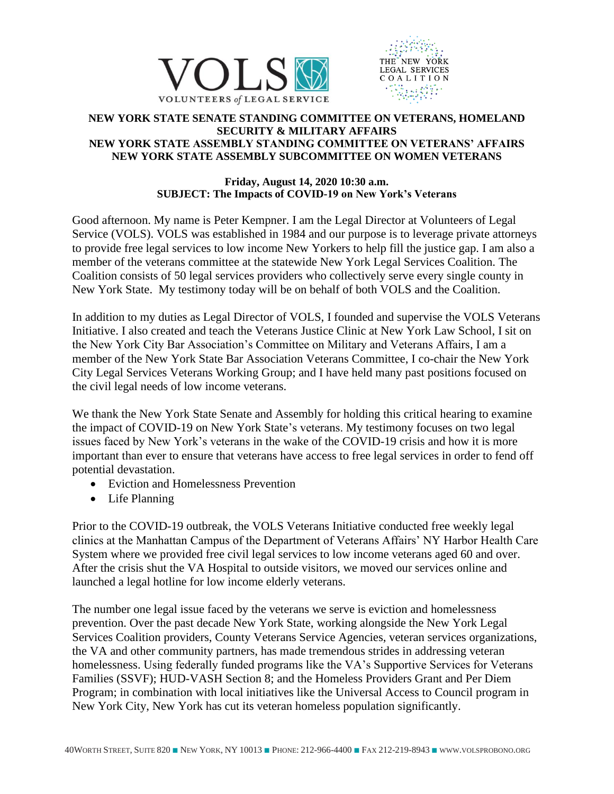



## **NEW YORK STATE SENATE STANDING COMMITTEE ON VETERANS, HOMELAND SECURITY & MILITARY AFFAIRS NEW YORK STATE ASSEMBLY STANDING COMMITTEE ON VETERANS' AFFAIRS NEW YORK STATE ASSEMBLY SUBCOMMITTEE ON WOMEN VETERANS**

## **Friday, August 14, 2020 10:30 a.m. SUBJECT: The Impacts of COVID-19 on New York's Veterans**

Good afternoon. My name is Peter Kempner. I am the Legal Director at Volunteers of Legal Service (VOLS). VOLS was established in 1984 and our purpose is to leverage private attorneys to provide free legal services to low income New Yorkers to help fill the justice gap. I am also a member of the veterans committee at the statewide New York Legal Services Coalition. The Coalition consists of 50 legal services providers who collectively serve every single county in New York State. My testimony today will be on behalf of both VOLS and the Coalition.

In addition to my duties as Legal Director of VOLS, I founded and supervise the VOLS Veterans Initiative. I also created and teach the Veterans Justice Clinic at New York Law School, I sit on the New York City Bar Association's Committee on Military and Veterans Affairs, I am a member of the New York State Bar Association Veterans Committee, I co-chair the New York City Legal Services Veterans Working Group; and I have held many past positions focused on the civil legal needs of low income veterans.

We thank the New York State Senate and Assembly for holding this critical hearing to examine the impact of COVID-19 on New York State's veterans. My testimony focuses on two legal issues faced by New York's veterans in the wake of the COVID-19 crisis and how it is more important than ever to ensure that veterans have access to free legal services in order to fend off potential devastation.

- Eviction and Homelessness Prevention
- Life Planning

Prior to the COVID-19 outbreak, the VOLS Veterans Initiative conducted free weekly legal clinics at the Manhattan Campus of the Department of Veterans Affairs' NY Harbor Health Care System where we provided free civil legal services to low income veterans aged 60 and over. After the crisis shut the VA Hospital to outside visitors, we moved our services online and launched a legal hotline for low income elderly veterans.

The number one legal issue faced by the veterans we serve is eviction and homelessness prevention. Over the past decade New York State, working alongside the New York Legal Services Coalition providers, County Veterans Service Agencies, veteran services organizations, the VA and other community partners, has made tremendous strides in addressing veteran homelessness. Using federally funded programs like the VA's Supportive Services for Veterans Families (SSVF); HUD-VASH Section 8; and the Homeless Providers Grant and Per Diem Program; in combination with local initiatives like the Universal Access to Council program in New York City, New York has cut its veteran homeless population significantly.